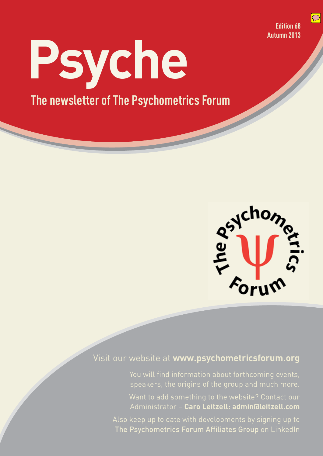**Edition 68 Autumn 2013**  $\boxed{\bigcirc}$ 

**Psyche The newsletter of The Psychometrics Forum**



### Visit our website at **www.psychometricsforum.org**

You will find information about forthcoming events, speakers, the origins of the group and much more.

Want to add something to the website? Contact our Administrator – **Caro Leitzell: admin@leitzell.com**

Also keep up to date with developments by signing up to The Psychometrics Forum Affiliates Group on LinkedIn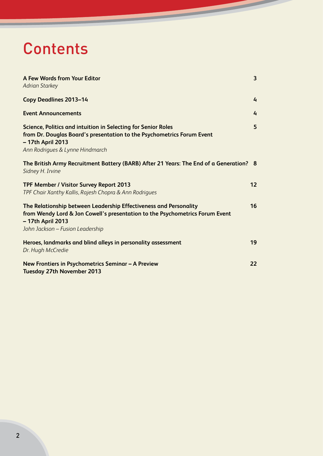## **Contents**

| A Few Words from Your Editor<br><b>Adrian Starkey</b>                                                                                                                                                      | 3              |
|------------------------------------------------------------------------------------------------------------------------------------------------------------------------------------------------------------|----------------|
| <b>Copy Deadlines 2013-14</b>                                                                                                                                                                              | 4              |
| <b>Event Announcements</b>                                                                                                                                                                                 | $\overline{4}$ |
| Science, Politics and intuition in Selecting for Senior Roles<br>from Dr. Douglas Board's presentation to the Psychometrics Forum Event<br>- 17th April 2013<br>Ann Rodrigues & Lynne Hindmarch            | 5              |
| The British Army Recruitment Battery (BARB) After 21 Years: The End of a Generation? 8<br>Sidney H. Irvine                                                                                                 |                |
| TPF Member / Visitor Survey Report 2013<br>TPF Chair Xanthy Kallis, Rajesh Chopra & Ann Rodrigues                                                                                                          | 12             |
| The Relationship between Leadership Effectiveness and Personality<br>from Wendy Lord & Jon Cowell's presentation to the Psychometrics Forum Event<br>- 17th April 2013<br>John Jackson - Fusion Leadership | 16             |
| Heroes, landmarks and blind alleys in personality assessment<br>Dr. Hugh McCredie                                                                                                                          | 19             |
| New Frontiers in Psychometrics Seminar - A Preview<br><b>Tuesday 27th November 2013</b>                                                                                                                    | 22             |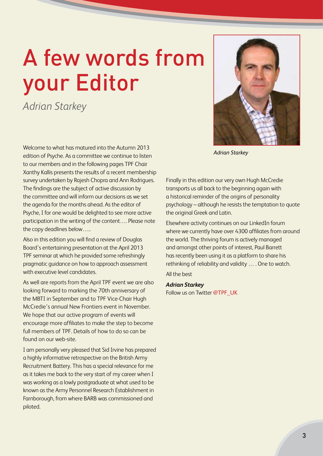# A few words from your Editor

*Adrian Starkey*

Welcome to what has matured into the Autumn 2013 edition of Psyche. As a committee we continue to listen to our members and in the following pages TPF Chair Xanthy Kallis presents the results of a recent membership survey undertaken by Rajesh Chopra and Ann Rodrigues. The findings are the subject of active discussion by the committee and will inform our decisions as we set the agenda for the months ahead. As the editor of Psyche, I for one would be delighted to see more active participation in the writing of the content…. Please note the copy deadlines below…..

Also in this edition you will find a review of Douglas Board's entertaining presentation at the April 2013 TPF seminar at which he provided some refreshingly pragmatic guidance on how to approach assessment with executive level candidates.

As well are reports from the April TPF event we are also looking forward to marking the 70th anniversary of the MBTI in September and to TPF Vice-Chair Hugh McCredie's annual New Frontiers event in November. We hope that our active program of events will encourage more affiliates to make the step to become full members of TPF. Details of how to do so can be found on our web-site.

I am personally very pleased that Sid Irvine has prepared a highly informative retrospective on the British Army Recruitment Battery. This has a special relevance for me as it takes me back to the very start of my career when I was working as a lowly postgraduate at what used to be known as the Army Personnel Research Establishment in Farnborough, from where BARB was commissioned and piloted.



*Adrian Starkey*

Finally in this edition our very own Hugh McCredie transports us all back to the beginning again with a historical reminder of the origins of personality psychology – although he resists the temptation to quote the original Greek and Latin.

Elsewhere activity continues on our LinkedIn forum where we currently have over 4300 affiliates from around the world. The thriving forum is actively managed and amongst other points of interest, Paul Barrett has recently been using it as a platform to share his rethinking of reliability and validity … . One to watch. All the best

#### *Adrian Starkey*

Follow us on Twitter @TPF\_UK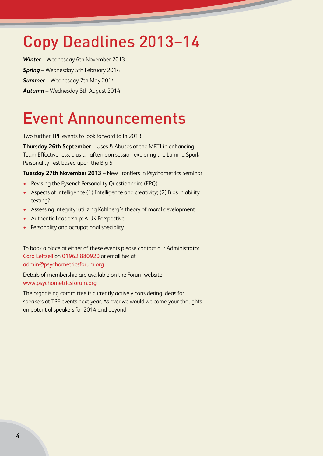## Copy Deadlines 2013–14

*Winter* – Wednesday 6th November 2013 *Spring* – Wednesday 5th February 2014 *Summer* – Wednesday 7th May 2014 *Autumn* – Wednesday 8th August 2014

## Event Announcements

Two further TPF events to look forward to in 2013:

**Thursday 26th September** – Uses & Abuses of the MBTI in enhancing Team Effectiveness, plus an afternoon session exploring the Lumina Spark Personality Test based upon the Big 5

**Tuesday 27th November 2013** – New Frontiers in Psychometrics Seminar

- Revising the Eysenck Personality Questionnaire (EPQ)
- Aspects of intelligence (1) Intelligence and creativity; (2) Bias in ability testing?
- Assessing integrity: utilizing Kohlberg's theory of moral development
- Authentic Leadership: A UK Perspective
- Personality and occupational speciality

To book a place at either of these events please contact our Administrator Caro Leitzell on 01962 880920 or email her at admin@psychometricsforum.org

Details of membership are available on the Forum website: www.psychometricsforum.org

The organising committee is currently actively considering ideas for speakers at TPF events next year. As ever we would welcome your thoughts on potential speakers for 2014 and beyond.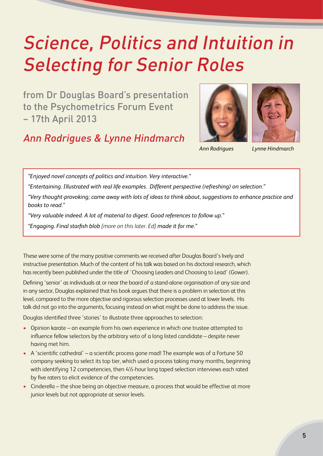## Science, Politics and Intuition in Selecting for Senior Roles

from Dr Douglas Board's presentation to the Psychometrics Forum Event – 17th April 2013

### Ann Rodrigues & Lynne Hindmarch





*Ann Rodrigues Lynne Hindmarch*

*"Enjoyed novel concepts of politics and intuition. Very interactive."* 

*"Entertaining. Illustrated with real life examples. Different perspective (refreshing) on selection."* 

*"Very thought-provoking; came away with lots of ideas to think about, suggestions to enhance practice and books to read."* 

*"Very valuable indeed. A lot of material to digest. Good references to follow up."* 

*"Engaging. Final starfish blob [more on this later. Ed] made it for me."* 

These were some of the many positive comments we received after Douglas Board's lively and instructive presentation. Much of the content of his talk was based on his doctoral research, which has recently been published under the title of 'Choosing Leaders and Choosing to Lead' (Gower).

Defining 'senior' as individuals at or near the board of a stand-alone organisation of any size and in any sector, Douglas explained that his book argues that there is a problem in selection at this level, compared to the more objective and rigorous selection processes used at lower levels. His talk did not go into the arguments, focusing instead on what might be done to address the issue.

Douglas identified three 'stories' to illustrate three approaches to selection:

- Opinion karate an example from his own experience in which one trustee attempted to influence fellow selectors by the arbitrary veto of a long listed candidate – despite never having met him.
- A 'scientific cathedral' a scientific process gone mad! The example was of a Fortune 50 company seeking to select its top tier, which used a process taking many months, beginning with identifying 12 competencies, then 4½-hour long taped selection interviews each rated by five raters to elicit evidence of the competencies.
- Cinderella the shoe being an objective measure, a process that would be effective at more junior levels but not appropriate at senior levels.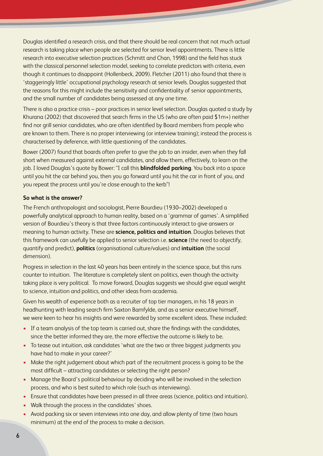Douglas identified a research crisis, and that there should be real concern that not much actual research is taking place when people are selected for senior level appointments. There is little research into executive selection practices (Schmitt and Chan, 1998) and the field has stuck with the classical personnel selection model, seeking to correlate predictors with criteria, even though it continues to disappoint (Hollenbeck, 2009). Fletcher (2011) also found that there is 'staggeringly little' occupational psychology research at senior levels. Douglas suggested that the reasons for this might include the sensitivity and confidentiality of senior appointments, and the small number of candidates being assessed at any one time.

There is also a practice crisis – poor practices in senior level selection. Douglas quoted a study by Khurana (2002) that discovered that search firms in the US (who are often paid \$1m+) neither find nor grill senior candidates, who are often identified by Board members from people who are known to them. There is no proper interviewing (or interview training); instead the process is characterised by deference, with little questioning of the candidates.

Bower (2007) found that boards often prefer to give the job to an insider, even when they fall short when measured against external candidates, and allow them, effectively, to learn on the job. I loved Douglas's quote by Bower: "I call this **blindfolded parking**. You back into a space until you hit the car behind you, then you go forward until you hit the car in front of you, and you repeat the process until you're close enough to the kerb"!

#### **So what is the answer?**

The French anthropologist and sociologist, Pierre Bourdieu (1930–2002) developed a powerfully analytical approach to human reality, based on a 'grammar of games'. A simplified version of Bourdieu's theory is that three factors continuously interact to give answers or meaning to human activity. These are **science, politics and intuition**. Douglas believes that this framework can usefully be applied to senior selection i.e. **science** (the need to objectify, quantify and predict), **politics** (organisational culture/values) and **intuition** (the social dimension).

Progress in selection in the last 40 years has been entirely in the science space, but this runs counter to intuition. The literature is completely silent on politics, even though the activity taking place is very political. To move forward, Douglas suggests we should give equal weight to science, intuition and politics, and other ideas from academia.

Given his wealth of experience both as a recruiter of top tier managers, in his 18 years in headhunting with leading search firm Saxton Bamfylde, and as a senior executive himself, we were keen to hear his insights and were rewarded by some excellent ideas. These included:

- If a team analysis of the top team is carried out, share the findings with the candidates, since the better informed they are, the more effective the outcome is likely to be.
- To tease out intuition, ask candidates 'what are the two or three biggest judgments you have had to make in your career?'
- Make the right judgement about which part of the recruitment process is going to be the most difficult – attracting candidates or selecting the right person?
- Manage the Board's political behaviour by deciding who will be involved in the selection process, and who is best suited to which role (such as interviewing).
- Ensure that candidates have been pressed in all three areas (science, politics and intuition).
- Walk through the process in the candidates' shoes.
- Avoid packing six or seven interviews into one day, and allow plenty of time (two hours minimum) at the end of the process to make a decision.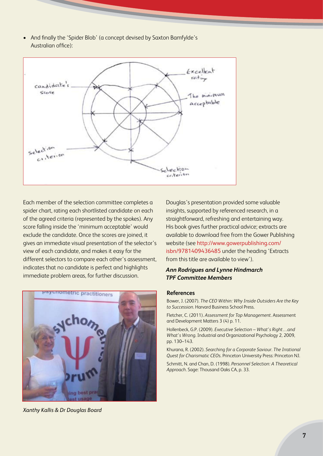• And finally the 'Spider Blob' (a concept devised by Saxton Bamfylde's Australian office):



Each member of the selection committee completes a spider chart, rating each shortlisted candidate on each of the agreed criteria (represented by the spokes). Any score falling inside the 'minimum acceptable' would exclude the candidate. Once the scores are joined, it gives an immediate visual presentation of the selector's view of each candidate, and makes it easy for the different selectors to compare each other's assessment, indicates that no candidate is perfect and highlights immediate problem areas, for further discussion.



*Xanthy Kallis & Dr Douglas Board*

Douglas's presentation provided some valuable insights, supported by referenced research, in a straightforward, refreshing and entertaining way. His book gives further practical advice; extracts are available to download free from the Gower Publishing website (see http://www.gowerpublishing.com/ isbn/9781409436485 under the heading 'Extracts from this title are available to view').

#### *Ann Rodrigues and Lynne Hindmarch TPF Committee Members*

#### **References**

Bower, J. (2007). *The CEO Within: Why Inside Outsiders Are the Key to Succession*. Harvard Business School Press.

Fletcher, C. (2011). *Assessment for Top Management*. Assessment and Development Matters 3 (4) p. 11.

Hollenbeck, G.P. (2009). *Executive Selection – What's Right…and What's Wrong*. Industrial and Organizational Psychology 2, 2009, pp. 130–143.

Khurana, R. (2002). *Searching for a Corporate Saviour. The Irrational Quest for Charismatic CEOs*. Princeton University Press: Princeton NJ.

Schmitt, N. and Chan, D. (1998). *Personnel Selection: A Theoretical Approach*. Sage: Thousand Oaks CA, p. 33.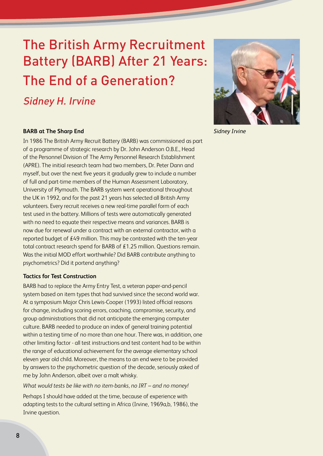### The British Army Recruitment Battery (BARB) After 21 Years: The End of a Generation?

Sidney H. Irvine



*Sidney Irvine*

#### **BARB at The Sharp End**

In 1986 The British Army Recruit Battery (BARB) was commissioned as part of a programme of strategic research by Dr. John Anderson O.B.E., Head of the Personnel Division of The Army Personnel Research Establishment (APRE). The initial research team had two members, Dr. Peter Dann and myself, but over the next five years it gradually grew to include a number of full and part-time members of the Human Assessment Laboratory, University of Plymouth. The BARB system went operational throughout the UK in 1992, and for the past 21 years has selected all British Army volunteers. Every recruit receives a new real-time parallel form of each test used in the battery. Millions of tests were automatically generated with no need to equate their respective means and variances. BARB is now due for renewal under a contract with an external contractor, with a reported budget of £49 million. This may be contrasted with the ten-year total contract research spend for BARB of £1.25 million. Questions remain. Was the initial MOD effort worthwhile? Did BARB contribute anything to psychometrics? Did it portend anything?

#### **Tactics for Test Construction**

BARB had to replace the Army Entry Test, a veteran paper-and-pencil system based on item types that had survived since the second world war. At a symposium Major Chris Lewis-Cooper (1993) listed official reasons for change, including scoring errors, coaching, compromise, security, and group administrations that did not anticipate the emerging computer culture. BARB needed to produce an index of general training potential within a testing time of no more than one hour. There was, in addition, one other limiting factor - all test instructions and test content had to be within the range of educational achievement for the average elementary school eleven year old child. Moreover, the means to an end were to be provided by answers to the psychometric question of the decade, seriously asked of me by John Anderson, albeit over a malt whisky.

*What would tests be like with no item-banks, no IRT – and no money!*

Perhaps I should have added at the time, because of experience with adapting tests to the cultural setting in Africa (Irvine, 1969a,b, 1986), the Irvine question.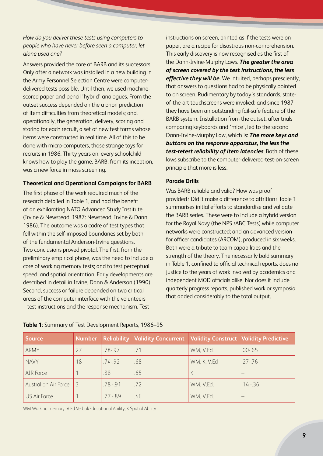#### *How do you deliver these tests using computers to people who have never before seen a computer, let alone used one?*

Answers provided the core of BARB and its successors. Only after a network was installed in a new building in the Army Personnel Selection Centre were computerdelivered tests possible. Until then, we used machinescored paper-and-pencil 'hybrid' analogues. From the outset success depended on the a priori prediction of item difficulties from theoretical models; and, operationally, the generation, delivery, scoring and storing for each recruit, a set of new test forms whose items were constructed in real time. All of this to be done with micro-computers, those strange toys for recruits in 1986. Thirty years on, every schoolchild knows how to play the game. BARB, from its inception, was a new force in mass screening.

#### **Theoretical and Operational Campaigns for BARB**

The first phase of the work required much of the research detailed in Table 1, and had the benefit of an exhilarating NATO Advanced Study Institute (Irvine & Newstead, 1987: Newstead, Irvine & Dann, 1986). The outcome was a cadre of test types that fell within the self-imposed boundaries set by both of the fundamental Anderson-Irvine questions. Two conclusions proved pivotal. The first, from the preliminary empirical phase, was the need to include a core of working memory tests; and to test perceptual speed, and spatial orientation. Early developments are described in detail in Irvine, Dann & Anderson (1990). Second, success or failure depended on two critical areas of the computer interface with the volunteers – test instructions and the response mechanism. Test

instructions on screen, printed as if the tests were on paper, are a recipe for disastrous non-comprehension. This early discovery is now recognised as the first of the Dann-Irvine-Murphy Laws. *The greater the area of screen covered by the test instructions, the less effective they will be.* We intuited, perhaps presciently, that answers to questions had to be physically pointed to on screen. Rudimentary by today's standards, stateof-the-art touchscreens were invoked: and since 1987 they have been an outstanding fail-safe feature of the BARB system. Installation from the outset, after trials comparing keyboards and 'mice', led to the second Dann-Irvine-Murphy Law, which is: *The more keys and buttons on the response apparatus, the less the test-retest reliability of item latencies*. Both of these laws subscribe to the computer-delivered-test-on-screen principle that more is less.

#### **Parade Drills**

Was BARB reliable and valid? How was proof provided? Did it make a difference to attrition? Table 1 summarises initial efforts to standardise and validate the BARB series. These were to include a hybrid version for the Royal Navy (the NPS /ABC Tests) while computer networks were constructed; and an advanced version for officer candidates (ARCOM), produced in six weeks. Both were a tribute to team capabilities and the strength of the theory. The necessarily bald summary in Table 1, confined to official technical reports, does no justice to the years of work involved by academics and independent MOD officials alike. Nor does it include quarterly progress reports, published work or symposia that added considerably to the total output.

| <b>Source</b>        | <b>Number</b> |             | <b>Reliability   Validity Concurrent</b> | Validity Construct   Validity Predictive |             |
|----------------------|---------------|-------------|------------------------------------------|------------------------------------------|-------------|
| ARMY                 | 27            | .78-.97     | .71                                      | WM, V.Ed.                                | $.00 - 65$  |
| <b>NAVY</b>          | 18            | $.74 - .92$ | .68                                      | WM, K, V, Ed                             | $.27 - .76$ |
| AIR Force            |               | .88         | .65                                      |                                          |             |
| Australian Air Force | 3             | $.78 - .91$ | .72                                      | WM, V.Ed.                                | $.14 - .36$ |
| US Air Force         |               | $.77 - .89$ | .46                                      | WM, V.Ed.                                |             |

#### **Table 1**: Summary of Test Development Reports, 1986–95

WM Working memory; V.Ed Verbal/Educational Ability, K Spatial Ability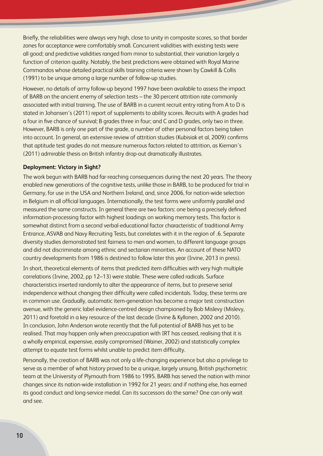Briefly, the reliabilities were always very high, close to unity in composite scores, so that border zones for acceptance were comfortably small. Concurrent validities with existing tests were all good; and predictive validities ranged from minor to substantial, their variation largely a function of criterion quality. Notably, the best predictions were obtained with Royal Marine Commandos whose detailed practical skills training criteria were shown by Cawkill & Collis (1991) to be unique among a large number of follow-up studies.

However, no details of army follow-up beyond 1997 have been available to assess the impact of BARB on the ancient enemy of selection tests – the 30 percent attrition rate commonly associated with initial training. The use of BARB in a current recruit entry rating from A to D is stated in Johansen's (2011) report of supplements to ability scores. Recruits with A grades had a four in five chance of survival; B grades three in four; and C and D grades, only two in three. However, BARB is only one part of the grade, a number of other personal factors being taken into account. In general, an extensive review of attrition studies (Kubisiak et al, 2009) confirms that aptitude test grades do not measure numerous factors related to attrition, as Kiernan's (2011) admirable thesis on British infantry drop-out dramatically illustrates.

#### **Deployment: Victory in Sight?**

The work begun with BARB had far-reaching consequences during the next 20 years. The theory enabled new generations of the cognitive tests, unlike those in BARB, to be produced for trial in Germany, for use in the USA and Northern Ireland, and, since 2006, for nation-wide selection in Belgium in all official languages. Internationally, the test forms were uniformly parallel and measured the same constructs. In general there are two factors: one being a precisely defined information-processing factor with highest loadings on working memory tests. This factor is somewhat distinct from a second verbal-educational factor characteristic of traditional Army Entrance, ASVAB and Navy Recruiting Tests, but correlates with it in the region of .6. Separate diversity studies demonstrated test fairness to men and women, to different language groups and did not discriminate among ethnic and sectarian minorities. An account of these NATO country developments from 1986 is destined to follow later this year (Irvine, 2013 in press).

In short, theoretical elements of items that predicted item difficulties with very high multiple correlations (Irvine, 2002, pp 12–13) were stable. These were called radicals. Surface characteristics inserted randomly to alter the appearance of items, but to preserve serial independence without changing their difficulty were called incidentals. Today, these terms are in common use. Gradually, automatic item-generation has become a major test construction avenue, with the generic label evidence-centred design championed by Bob Mislevy (Mislevy, 2011) and foretold in a key resource of the last decade (Irvine & Kyllonen, 2002 and 2010). In conclusion, John Anderson wrote recently that the full potential of BARB has yet to be realised. That may happen only when preoccupation with IRT has ceased, realising that it is a wholly empirical, expensive, easily compromised (Wainer, 2002) and statistically complex attempt to equate test forms whilst unable to predict item difficulty.

Personally, the creation of BARB was not only a life-changing experience but also a privilege to serve as a member of what history proved to be a unique, largely unsung, British psychometric team at the University of Plymouth from 1986 to 1995. BARB has served the nation with minor changes since its nation-wide installation in 1992 for 21 years: and if nothing else, has earned its good conduct and long-service medal. Can its successors do the same? One can only wait and see.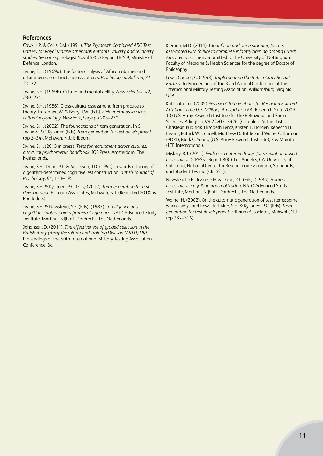#### **References**

Cawkill, P. & Collis, J.M. (1991). *The Plymouth Combined ABC Test Battery for Royal Marine other rank entrants, validity and reliability studies*. Senior Psychologist Naval SP(N) Report TR269, Ministry of Defence, London.

Irvine, S.H. (1969a). The factor analysis of African abilities and attainments: constructs across cultures. *Psychological Bulletin*, *71*, 20–32.

Irvine, S.H. (1969b). Culture and mental ability. *New Scientist, 42*, 230–231.

Irvine, S.H. (1986). Cross-cultural assessment: from practice to theory. In Lonner, W. & Berry, J.W. (Eds). *Field methods in crosscultural psychology*. New York, Sage pp 203–230.

Irvine, S.H. (2002). The foundations of item generation. In S.H. Irvine & P.C. Kyllonen (Eds). *Item generation for test development* (pp 3–34). Mahwah, N.J.: Erlbaum.

Irvine, S.H. (2013 in press). *Tests for recruitment across cultures: a tactical psychometric handbook*. IOS Press, Amsterdam, The Netherlands.

Irvine, S.H., Dann, P.L. & Anderson, J.D. (1990). Towards a theory of algorithm-determined cognitive lest construction. *British Journal of Psychology, 81*, 173–195.

Irvine, S.H. & Kyllonen, P.C. (Eds) (2002). *Item generation for test development.* Erlbaum Associates, Mahwah, N.J. (Reprinted 2010 by Routledge.)

Irvine, S.H. & Newstead, S.E. (Eds). (1987). *Intelligence and cognition: contemporary frames of reference*. NATO Advanced Study Institute, Martinus Nijhoff, Dordrecht, The Netherlands.

Johansen, D. (2011). *The effectiveness of graded selection in the British Army (Army Recruiting and Training Division (ARTD) UK)*. Proceedings of the 50th International Military Testing Association Conference, Bali.

Kiernan, M.D. (2011). I*dentifying and understanding factors associated with failure to complete infantry training among British Army recruits*. Thesis submitted to the University of Nottingham Faculty of Medicine & Health Sciences for the degree of Doctor of Philosophy.

Lewis-Cooper, C. (1993). *Implementing the British Army Recruit Battery*. In Proceedings of the 32nd Annual Conference of the International Military Testing Association. Williamsburg, Virginia, USA.

Kubisiak et al. (2009) *Review of Interventions for Reducing Enlisted Attrition in the U.S. Military, An Update*. (ARI Research Note 2009- 13) U.S. Army Research Institute for the Behavioral and Social Sciences, Arlington, VA 22202–3926. (Complete Author List U. Christean Kubisiak, Elizabeth Lentz, Kristen E. Horgen, Rebecca H. Bryant, Patrick W. Connell, Matthew D. Tuttle, and Walter C. Borman (PDRI), Mark C. Young (U.S. Army Research Institute), Ray Morath (ICF International).

Mislevy, R.J. (2011). *Evidence centered design for simulation-based assessment*. (CRESST Report 800). Los Angeles, CA: University of California, National Center for Research on Evaluation, Standards, and Student Testing (CRESST).

Newstead, S.E., Irvine, S.H. & Dann, P.L. (Eds). (1986). *Human assessment: cognition and motivation*. NATO Advanced Study Institute, Martinus Nijhoff, Dordrecht, The Netherlands.

Wainer H. (2002), On the automatic generation of test items: some whens, whys and hows. In Irvine, S.H. & Kyllonen, P.C. (Eds). *Item generation for test development*. Erlbaum Associates, Mahwah, N.J., (pp 287–316).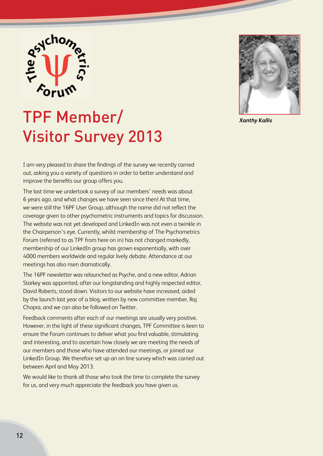

## TPF Member/ Visitor Survey 2013

I am very pleased to share the findings of the survey we recently carried out, asking you a variety of questions in order to better understand and improve the benefits our group offers you.

The last time we undertook a survey of our members' needs was about 6 years ago, and what changes we have seen since then! At that time, we were still the 16PF User Group, although the name did not reflect the coverage given to other psychometric instruments and topics for discussion. The website was not yet developed and LinkedIn was not even a twinkle in the Chairperson's eye. Currently, whilst membership of The Psychometrics Forum (referred to as TPF from here on in) has not changed markedly, membership of our LinkedIn group has grown exponentially, with over 4000 members worldwide and regular lively debate. Attendance at our meetings has also risen dramatically.

The 16PF newsletter was relaunched as Psyche, and a new editor, Adrian Starkey was appointed, after our longstanding and highly respected editor, David Roberts, stood down. Visitors to our website have increased, aided by the launch last year of a blog, written by new committee member, Raj Chopra, and we can also be followed on Twitter.

Feedback comments after each of our meetings are usually very positive. However, in the light of these significant changes, TPF Committee is keen to ensure the Forum continues to deliver what you find valuable, stimulating and interesting, and to ascertain how closely we are meeting the needs of our members and those who have attended our meetings, or joined our LinkedIn Group. We therefore set up an on line survey which was carried out between April and May 2013.

We would like to thank all those who took the time to complete the survey for us, and very much appreciate the feedback you have given us.



*Xanthy Kallis*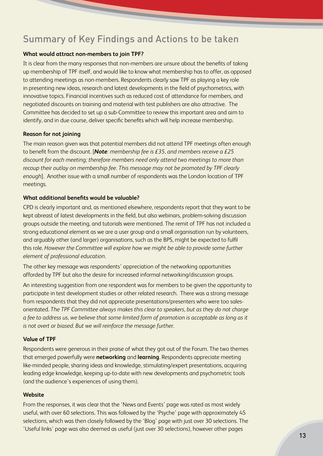### Summary of Key Findings and Actions to be taken

#### **What would attract non-members to join TPF?**

It is clear from the many responses that non-members are unsure about the benefits of taking up membership of TPF itself, and would like to know what membership has to offer, as opposed to attending meetings as non-members. Respondents clearly saw TPF as playing a key role in presenting new ideas, research and latest developments in the field of psychometrics, with innovative topics. Financial incentives such as reduced cost of attendance for members, and negotiated discounts on training and material with test publishers are also attractive. The Committee has decided to set up a sub-Committee to review this important area and aim to identify, and in due course, deliver specific benefits which will help increase membership.

#### **Reason for not joining**

The main reason given was that potential members did not attend TPF meetings often enough to benefit from the discount. [*Note: membership fee is £35, and members receive a £25 discount for each meeting; therefore members need only attend two meetings to more than recoup their outlay on membership fee. This message may not be promoted by TPF clearly enough*]. Another issue with a small number of respondents was the London location of TPF meetings.

#### **What additional benefits would be valuable?**

CPD is clearly important and, as mentioned elsewhere, respondents report that they want to be kept abreast of latest developments in the field, but also webinars, problem-solving discussion groups outside the meeting, and tutorials were mentioned. The remit of TPF has not included a strong educational element as we are a user group and a small organisation run by volunteers, and arguably other (and larger) organisations, such as the BPS, might be expected to fulfil this role. *However the Committee will explore how we might be able to provide some further element of professional education*.

The other key message was respondents' appreciation of the networking opportunities afforded by TPF but also the desire for increased informal networking/discussion groups.

An interesting suggestion from one respondent was for members to be given the opportunity to participate in test development studies or other related research. There was a strong message from respondents that they did not appreciate presentations/presenters who were too salesorientated. *The TPF Committee always makes this clear to speakers, but as they do not charge a fee to address us, we believe that some limited form of promotion is acceptable as long as it is not overt or biased. But we will reinforce the message further*.

#### **Value of TPF**

Respondents were generous in their praise of what they got out of the Forum. The two themes that emerged powerfully were **networking** and **learning**. Respondents appreciate meeting like-minded people, sharing ideas and knowledge, stimulating/expert presentations, acquiring leading edge knowledge, keeping up-to-date with new developments and psychometric tools (and the audience's experiences of using them).

#### **Website**

From the responses, it was clear that the 'News and Events' page was rated as most widely useful, with over 60 selections. This was followed by the 'Psyche' page with approximately 45 selections, which was then closely followed by the 'Blog' page with just over 30 selections. The 'Useful links' page was also deemed as useful (just over 30 selections), however other pages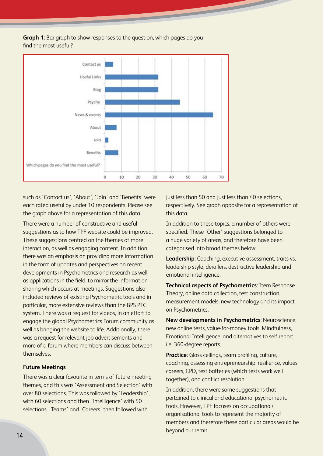**Graph 1**: Bar graph to show responses to the question, which pages do you find the most useful?



such as 'Contact us', 'About', 'Join' and 'Benefits' were each rated useful by under 10 respondents. Please see the graph above for a representation of this data.

There were a number of constructive and useful suggestions as to how TPF website could be improved. These suggestions centred on the themes of more interaction, as well as engaging content. In addition, there was an emphasis on providing more information in the form of updates and perspectives on recent developments in Psychometrics and research as well as applications in the field, to mirror the information sharing which occurs at meetings. Suggestions also included reviews of existing Psychometric tools and in particular, more extensive reviews than the BPS PTC system. There was a request for videos, in an effort to engage the global Psychometrics Forum community as well as bringing the website to life. Additionally, there was a request for relevant job advertisements and more of a forum where members can discuss between themselves.

#### **Future Meetings**

There was a clear favourite in terms of future meeting themes, and this was 'Assessment and Selection' with over 80 selections. This was followed by 'Leadership', with 60 selections and then 'Intelligence' with 50 selections. 'Teams' and 'Careers' then followed with

just less than 50 and just less than 40 selections, respectively. See graph opposite for a representation of this data.

In addition to these topics, a number of others were specified. These 'Other' suggestions belonged to a huge variety of areas, and therefore have been categorised into broad themes below:

**Leadership**: Coaching, executive assessment, traits vs. leadership style, derailers, destructive leadership and emotional intelligence.

**Technical aspects of Psychometrics**: Item Response Theory, online data collection, test construction, measurement models, new technology and its impact on Psychometrics.

**New developments in Psychometrics**: Neuroscience, new online tests, value-for-money tools, Mindfulness, Emotional Intelligence, and alternatives to self report i.e. 360-degree reports.

**Practice**: Glass ceilings, team profiling, culture, coaching, assessing entrepreneurship, resilience, values, careers, CPD, test batteries (which tests work well together), and conflict resolution.

In addition, there were some suggestions that pertained to clinical and educational psychometric tools. However, TPF focuses on occupational/ organisational tools to represent the majority of members and therefore these particular areas would be beyond our remit.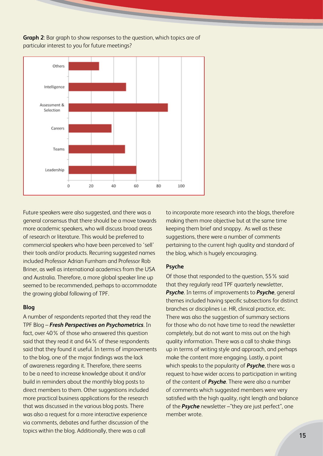**Graph 2**: Bar graph to show responses to the question, which topics are of particular interest to you for future meetings?



Future speakers were also suggested, and there was a general consensus that there should be a move towards more academic speakers, who will discuss broad areas of research or literature. This would be preferred to commercial speakers who have been perceived to 'sell' their tools and/or products. Recurring suggested names included Professor Adrian Furnham and Professor Rob Briner, as well as international academics from the USA and Australia. Therefore, a more global speaker line up seemed to be recommended, perhaps to accommodate the growing global following of TPF.

#### **Blog**

A number of respondents reported that they read the TPF Blog – *Fresh Perspectives on Psychometrics*. In fact, over 40% of those who answered this question said that they read it and 64% of these respondents said that they found it useful. In terms of improvements to the blog, one of the major findings was the lack of awareness regarding it. Therefore, there seems to be a need to increase knowledge about it and/or build in reminders about the monthly blog posts to direct members to them. Other suggestions included more practical business applications for the research that was discussed in the various blog posts. There was also a request for a more interactive experience via comments, debates and further discussion of the topics within the blog. Additionally, there was a call

to incorporate more research into the blogs, therefore making them more objective but at the same time keeping them brief and snappy. As well as these suggestions, there were a number of comments pertaining to the current high quality and standard of the blog, which is hugely encouraging.

#### **Psyche**

Of those that responded to the question, 55% said that they regularly read TPF quarterly newsletter, *Psyche*. In terms of improvements to *Psyche*, general themes included having specific subsections for distinct branches or disciplines i.e. HR, clinical practice, etc. There was also the suggestion of summary sections for those who do not have time to read the newsletter completely, but do not want to miss out on the high quality information. There was a call to shake things up in terms of writing style and approach, and perhaps make the content more engaging. Lastly, a point which speaks to the popularity of *Psyche*, there was a request to have wider access to participation in writing of the content of *Psyche*. There were also a number of comments which suggested members were very satisfied with the high quality, right length and balance of the *Psyche* newsletter –"they are just perfect", one member wrote.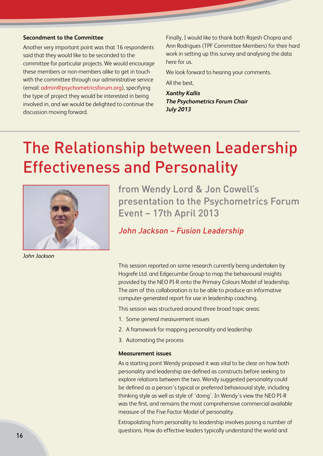#### **Secondment to the Committee**

Another very important point was that 16 respondents said that they would like to be seconded to the committee for particular projects. We would encourage these members or non-members alike to get in touch with the committee through our administrative service (email: admin@psychometricsforum.org), specifying the type of project they would be interested in being involved in, and we would be delighted to continue the discussion moving forward.

Finally, I would like to thank both Rajesh Chopra and Ann Rodrigues (TPF Committee Members) for their hard work in setting up this survey and analysing the data here for us.

We look forward to hearing your comments.

All the best,

*Xanthy Kallis The Psychometrics Forum Chair July 2013*

## The Relationship between Leadership Effectiveness and Personality



*John Jackson*

from Wendy Lord & Jon Cowell's presentation to the Psychometrics Forum Event – 17th April 2013

John Jackson – Fusion Leadership

This session reported on some research currently being undertaken by Hogrefe Ltd. and Edgecumbe Group to map the behavioural insights provided by the NEO PI-R onto the Primary Colours Model of leadership. The aim of this collaboration is to be able to produce an informative computer-generated report for use in leadership coaching.

This session was structured around three broad topic areas:

- 1. Some general measurement issues
- 2. A framework for mapping personality and leadership
- 3. Automating the process

#### **Measurement issues**

As a starting point Wendy proposed it was vital to be clear on how both personality and leadership are defined as constructs before seeking to explore relations between the two. Wendy suggested personality could be defined as a person's typical or preferred behavioural style, including thinking style as well as style of 'doing'. In Wendy's view the NEO PI-R was the first, and remains the most comprehensive commercial available measure of the Five Factor Model of personality.

Extrapolating from personality to leadership involves posing a number of questions. How do effective leaders typically understand the world and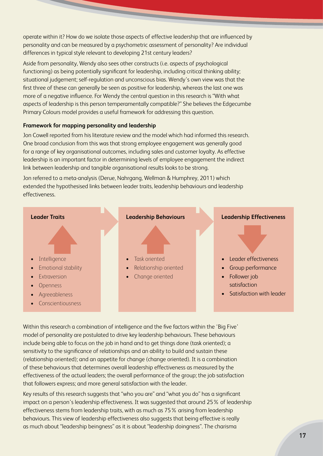operate within it? How do we isolate those aspects of effective leadership that are influenced by personality and can be measured by a psychometric assessment of personality? Are individual differences in typical style relevant to developing 21st century leaders?

Aside from personality, Wendy also sees other constructs (i.e. aspects of psychological functioning) as being potentially significant for leadership, including critical thinking ability; situational judgement; self-regulation and unconscious bias. Wendy's own view was that the first three of these can generally be seen as positive for leadership, whereas the last one was more of a negative influence. For Wendy the central question in this research is "With what aspects of leadership is this person temperamentally compatible?" She believes the Edgecumbe Primary Colours model provides a useful framework for addressing this question.

#### **Framework for mapping personality and leadership**

Jon Cowell reported from his literature review and the model which had informed this research. One broad conclusion from this was that strong employee engagement was generally good for a range of key organisational outcomes, including sales and customer loyalty. As effective leadership is an important factor in determining levels of employee engagement the indirect link between leadership and tangible organisational results looks to be strong.

Jon referred to a meta-analysis (Derue, Nahrgang, Wellman & Humphrey, 2011) which extended the hypothesised links between leader traits, leadership behaviours and leadership effectiveness.



Within this research a combination of intelligence and the five factors within the 'Big Five' model of personality are postulated to drive key leadership behaviours. These behaviours include being able to focus on the job in hand and to get things done (task oriented); a sensitivity to the significance of relationships and an ability to build and sustain these (relationship oriented); and an appetite for change (change oriented). It is a combination of these behaviours that determines overall leadership effectiveness as measured by the effectiveness of the actual leaders; the overall performance of the group; the job satisfaction that followers express; and more general satisfaction with the leader.

Key results of this research suggests that "who you are" and "what you do" has a significant impact on a person's leadership effectiveness. It was suggested that around 25% of leadership effectiveness stems from leadership traits, with as much as 75% arising from leadership behaviours. This view of leadership effectiveness also suggests that being effective is really as much about "leadership beingness" as it is about "leadership doingness". The charisma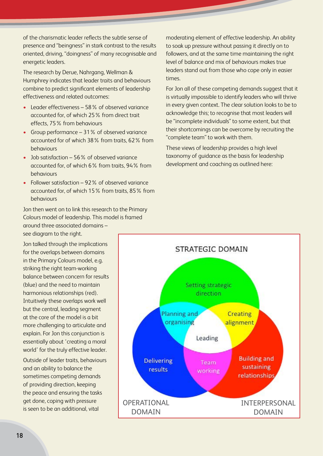of the charismatic leader reflects the subtle sense of presence and "beingness" in stark contrast to the results oriented, driving, "doingness" of many recognisable and energetic leaders.

The research by Derue, Nahrgang, Wellman & Humphrey indicates that leader traits and behaviours combine to predict significant elements of leadership effectiveness and related outcomes:

- Leader effectiveness 58% of observed variance accounted for, of which 25% from direct trait effects, 75% from behaviours
- Group performance 31% of observed variance accounted for of which 38% from traits, 62% from behaviours
- Job satisfaction 56% of observed variance accounted for, of which 6% from traits, 94% from behaviours
- Follower satisfaction 92% of observed variance accounted for, of which 15% from traits, 85% from behaviours

Jon then went on to link this research to the Primary Colours model of leadership. This model is framed around three associated domains – see diagram to the right.

Jon talked through the implications for the overlaps between domains in the Primary Colours model, e.g. striking the right team-working balance between concern for results (blue) and the need to maintain harmonious relationships (red). Intuitively these overlaps work well but the central, leading segment at the core of the model is a bit more challenging to articulate and explain. For Jon this conjunction is essentially about 'creating a moral world' for the truly effective leader.

Outside of leader traits, behaviours and an ability to balance the sometimes competing demands of providing direction, keeping the peace and ensuring the tasks get done, coping with pressure is seen to be an additional, vital

moderating element of effective leadership. An ability to soak up pressure without passing it directly on to followers, and at the same time maintaining the right level of balance and mix of behaviours makes true leaders stand out from those who cope only in easier times.

For Jon all of these competing demands suggest that it is virtually impossible to identify leaders who will thrive in every given context. The clear solution looks to be to acknowledge this; to recognise that most leaders will be "incomplete individuals" to some extent, but that their shortcomings can be overcome by recruiting the "complete team" to work with them.

These views of leadership provides a high level taxonomy of guidance as the basis for leadership development and coaching as outlined here:

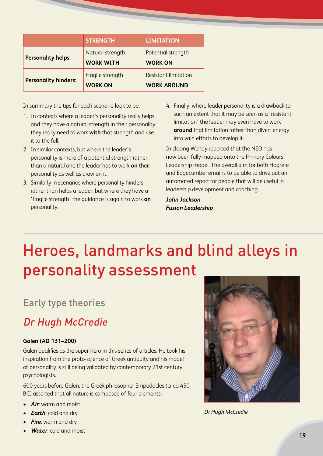|                             | <b>STRENGTH</b>                      | LIMITATION                                        |
|-----------------------------|--------------------------------------|---------------------------------------------------|
| <b>Personality helps:</b>   | Natural strength<br><b>WORK WITH</b> | Potential strength<br><b>WORK ON</b>              |
| <b>Personality hinders:</b> | Fragile strength<br><b>WORK ON</b>   | <b>Resistant limitation</b><br><b>WORK AROUND</b> |

In summary the tips for each scenario look to be:

- 1. In contexts where a leader's personality really helps and they have a natural strength in their personality they really need to work **with** that strength and use it to the full.
- 2. In similar contexts, but where the leader's personality is more of a potential strength rather than a natural one the leader has to work **on** their personality as well as draw on it.
- 3. Similarly in scenarios where personality hinders rather than helps a leader, but where they have a 'fragile strength' the guidance is again to work **on** personality.
- 4. Finally, where leader personality is a drawback to such an extent that it may be seen as a 'resistant limitation' the leader may even have to work **around** that limitation rather than divert energy into vain efforts to develop it.

In closing Wendy reported that the NEO has now been fully mapped onto the Primary Colours Leadership model. The overall aim for both Hogrefe and Edgecumbe remains to be able to drive out an automated report for people that will be useful in leadership development and coaching.

*John Jackson Fusion Leadership*

## Heroes, landmarks and blind alleys in personality assessment

### Early type theories

### Dr Hugh McCredie

#### **Galen (AD 131–200)**

Galen qualifies as the super-hero in this series of articles. He took his inspiration from the proto-science of Greek antiquity and his model of personality is still being validated by contemporary 21st century psychologists.

600 years before Galen, the Greek philosopher Empedocles (circa 450 BC) asserted that all nature is composed of four elements:

- • *Air*: warm and moist
- *Earth:* cold and dry
- **Fire**: warm and dry
- **Water:** cold and moist



*Dr Hugh McCredie*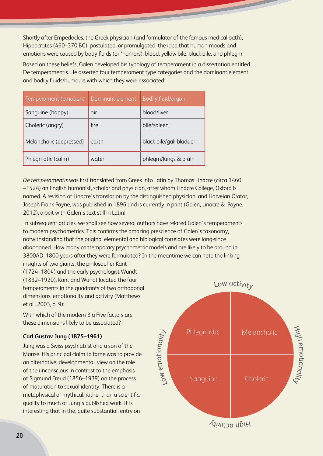Shortly after Empedocles, the Greek physician (and formulator of the famous medical oath), Hippocrates (460–370 BC), postulated, or promulgated, the idea that human moods and emotions were caused by body fluids (or 'humors): blood, yellow bile, black bile, and phlegm.

Based on these beliefs, Galen developed his typology of temperament in a dissertation entitled De temperamentis. He asserted four temperament type categories and the dominant element and bodily fluids/humours with which they were associated:

| Temperament (emotion)   | Dominant element | <b>Bodily fluid/organ</b> |
|-------------------------|------------------|---------------------------|
| Sanguine (happy)        | air              | blood/liver               |
| Choleric (angry)        | fire             | bile/spleen               |
| Melancholic (depressed) | earth            | black bile/gall bladder   |
| Phlegmatic (calm)       | water            | phlegm/lungs & brain      |

*De temperamentis* was first translated from Greek into Latin by Thomas Linacre (circa 1460 –1524) an English humanist, scholar and physician, after whom Linacre College, Oxford is named. A revision of Linacre's translation by the distinguished physician, and Harveian Orator, Joseph Frank Payne, was published in 1896 and is currently in print (Galen, Linacre & Payne, 2012), albeit with Galen's text still in Latin!

In subsequent articles, we shall see how several authors have related Galen's temperaments to modern psychometrics. This confirms the amazing prescience of Galen's taxonomy, notwithstanding that the original elemental and biological correlates were long-since abandoned. How many contemporary psychometric models and are likely to be around in 3800AD, 1800 years after they were formulated? In the meantime we can note the linking insights of two giants, the philosopher Kant

(1724–1804) and the early psychologist Wundt (1832–1920). Kant and Wundt located the four temperaments in the quadrants of two orthogonal dimensions, emotionality and activity (Matthews et al., 2003, p. 9):

With which of the modern Big Five factors are these dimensions likely to be associated?

#### **Carl Gustav Jung (1875–1961)**

Jung was a Swiss psychiatrist and a son of the Manse. His principal claim to fame was to provide an alternative, developmental, view on the role of the unconscious in contrast to the emphasis of Sigmund Freud (1856–1939) on the process of maturation to sexual identity. There is a metaphysical or mythical, rather than a scientific, quality to much of Jung's published work. It is interesting that in the, quite substantial, entry on

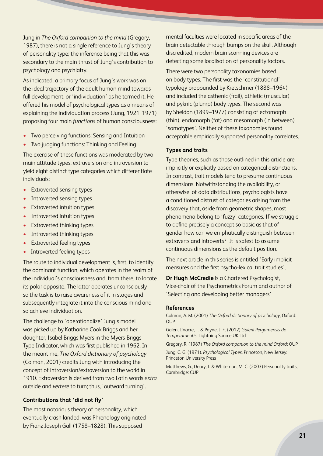Jung in *The Oxford companion to the mind* (Gregory, 1987), there is not a single reference to Jung's theory of personality type; the inference being that this was secondary to the main thrust of Jung's contribution to psychology and psychiatry.

As indicated, a primary focus of Jung's work was on the ideal trajectory of the adult human mind towards full development, or 'individuation' as he termed it. He offered his model of psychological types as a means of explaining the individuation process (Jung, 1921, 1971) proposing four main *functions* of human consciousness:

- Two perceiving functions: Sensing and Intuition
- Two judging functions: Thinking and Feeling

The exercise of these functions was moderated by two main attitude types: extraversion and introversion to yield eight distinct type categories which differentiate individuals:

- Extraverted sensing types
- Introverted sensing types
- Extraverted intuition types
- Introverted intuition types
- Extraverted thinking types
- Introverted thinking types
- **Extraverted feeling types**
- Introverted feeling types

The route to individual development is, first, to identify the dominant function, which operates in the realm of the individual's consciousness and, from there, to locate its polar opposite. The latter operates unconsciously so the task is to raise awareness of it in stages and subsequently integrate it into the conscious mind and so achieve individuation.

The challenge to 'operationalize' Jung's model was picked up by Katharine Cook Briggs and her daughter, Isabel Briggs Myers in the Myers-Briggs Type Indicator, which was first published in 1962. In the meantime, *The Oxford dictionary of psychology* (Colman, 2001) credits Jung with introducing the concept of introversion/extraversion to the world in 1910. Extraversion is derived from two Latin words *extra* outside and *vertere* to turn; thus, 'outward turning'.

#### **Contributions that 'did not fly'**

The most notorious theory of personality, which eventually crash landed, was Phrenology originated by Franz Joseph Gall (1758–1828). This supposed

mental faculties were located in specific areas of the brain detectable through bumps on the skull. Although discredited, modern brain scanning devices are detecting some localisation of personality factors.

There were two personality taxonomies based on body types. The first was the 'constitutional' typology propounded by Kretschmer (1888–1964) and included the asthenic (frail), athletic (muscular) and pyknic (plump) body types. The second was by Sheldon (1899–1977) consisting of ectomorph (thin), endomorph (fat) and mesomorph (in between) 'somatypes'. Neither of these taxonomies found acceptable empirically supported personality correlates.

#### **Types and traits**

Type theories, such as those outlined in this article are implicitly or explicitly based on categorical distinctions. In contrast, trait models tend to presume continuous dimensions. Notwithstanding the availability, or otherwise, of data distributions, psychologists have a conditioned distrust of categories arising from the discovery that, aside from geometric shapes, most phenomena belong to 'fuzzy' categories. If we struggle to define precisely a concept so basic as that of gender how can we emphatically distinguish between extraverts and introverts? It is safest to assume continuous dimensions as the default position.

The next article in this series is entitled 'Early implicit measures and the first psycho-lexical trait studies'.

**Dr Hugh McCredie** is a Chartered Psychologist, Vice-chair of the Psychometrics Forum and author of 'Selecting and developing better managers'

#### **References**

Colman, A. M. (2001) *The Oxford dictionary of psychology*, Oxford: **OUP** 

Galen, Linacre, T. & Payne, J. F. (2012) *Galeni Pergamensis de Temperamentis*, Lightning Source UK Ltd

Gregory, R. (1987) *The Oxford companion to the mind Oxford*: OUP

Jung, C. G. (1971). *Psychological Types*. Princeton, New Jersey: Princeton University Press

Matthews, G., Deary, I. & Whiteman, M. C. (2003) Personality traits, Cambridge: CUP